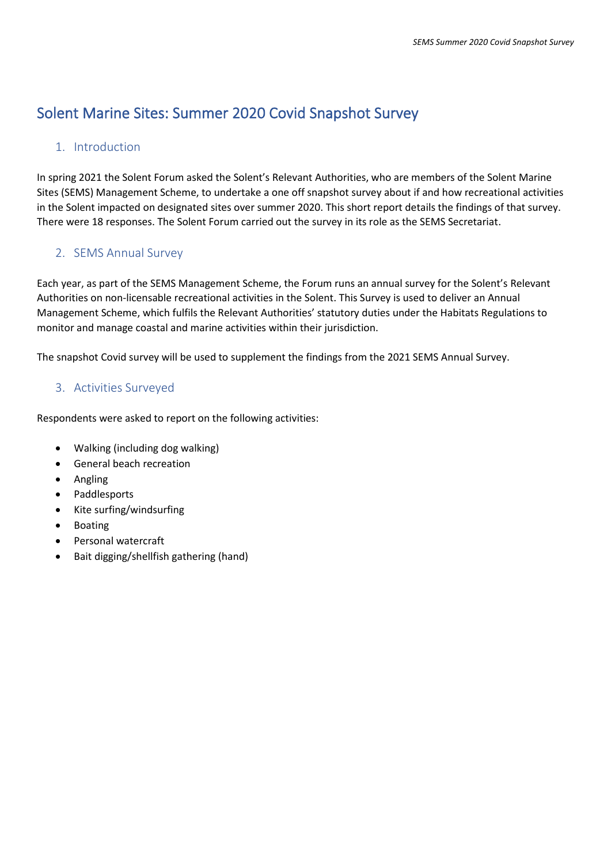# Solent Marine Sites: Summer 2020 Covid Snapshot Survey

# 1. Introduction

In spring 2021 the Solent Forum asked the Solent's Relevant Authorities, who are members of the Solent Marine Sites (SEMS) Management Scheme, to undertake a one off snapshot survey about if and how recreational activities in the Solent impacted on designated sites over summer 2020. This short report details the findings of that survey. There were 18 responses. The Solent Forum carried out the survey in its role as the SEMS Secretariat.

# 2. SEMS Annual Survey

Each year, as part of the SEMS Management Scheme, the Forum runs an annual survey for the Solent's Relevant Authorities on non-licensable recreational activities in the Solent. This Survey is used to deliver an Annual Management Scheme, which fulfils the Relevant Authorities' statutory duties under the Habitats Regulations to monitor and manage coastal and marine activities within their jurisdiction.

The snapshot Covid survey will be used to supplement the findings from the 2021 SEMS Annual Survey.

# 3. Activities Surveyed

Respondents were asked to report on the following activities:

- Walking (including dog walking)
- General beach recreation
- Angling
- Paddlesports
- Kite surfing/windsurfing
- Boating
- Personal watercraft
- Bait digging/shellfish gathering (hand)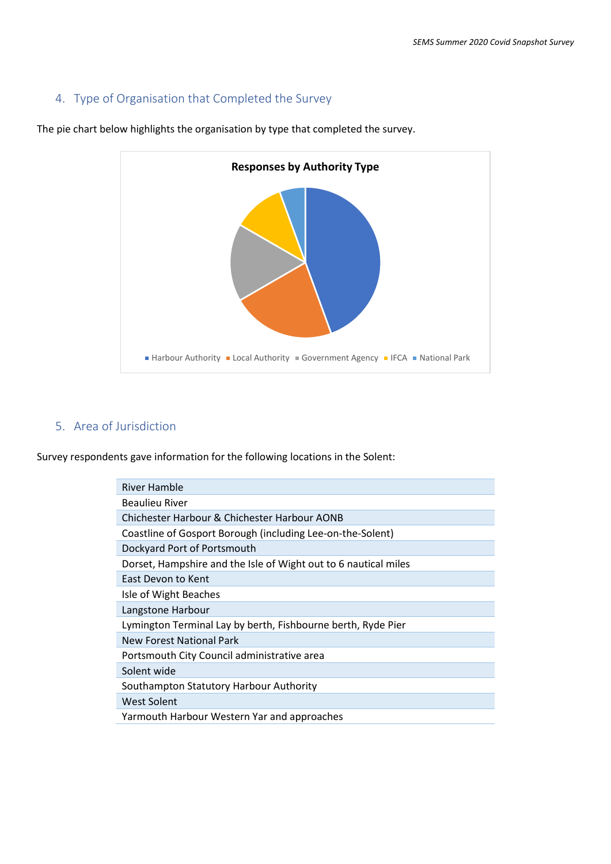# 4. Type of Organisation that Completed the Survey



The pie chart below highlights the organisation by type that completed the survey.

## 5. Area of Jurisdiction

Survey respondents gave information for the following locations in the Solent:

| River Hamble                                                    |
|-----------------------------------------------------------------|
| Beaulieu River                                                  |
| Chichester Harbour & Chichester Harbour AONB                    |
| Coastline of Gosport Borough (including Lee-on-the-Solent)      |
| Dockyard Port of Portsmouth                                     |
| Dorset, Hampshire and the Isle of Wight out to 6 nautical miles |
| East Devon to Kent                                              |
| Isle of Wight Beaches                                           |
| Langstone Harbour                                               |
| Lymington Terminal Lay by berth, Fishbourne berth, Ryde Pier    |
| New Forest National Park                                        |
| Portsmouth City Council administrative area                     |
| Solent wide                                                     |
| Southampton Statutory Harbour Authority                         |
| West Solent                                                     |
| Yarmouth Harbour Western Yar and approaches                     |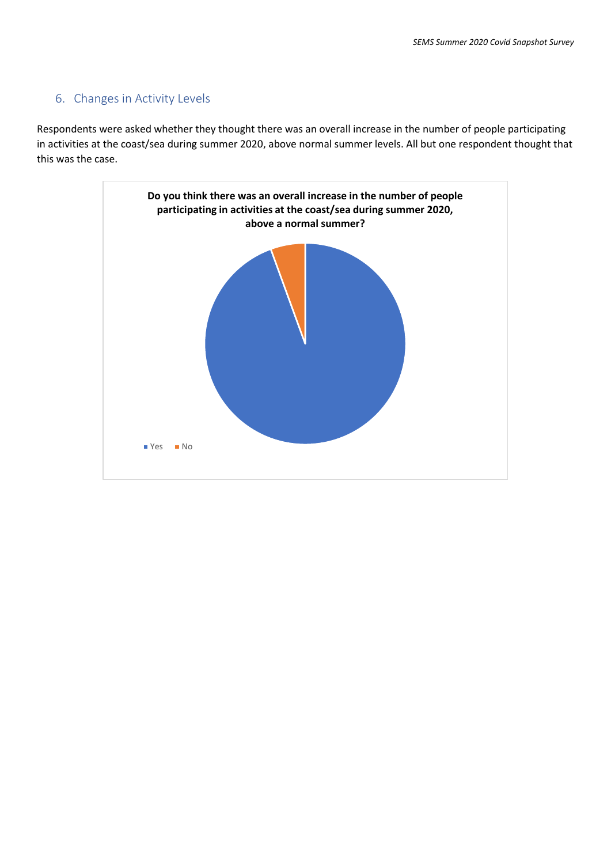### 6. Changes in Activity Levels

Respondents were asked whether they thought there was an overall increase in the number of people participating in activities at the coast/sea during summer 2020, above normal summer levels. All but one respondent thought that this was the case.

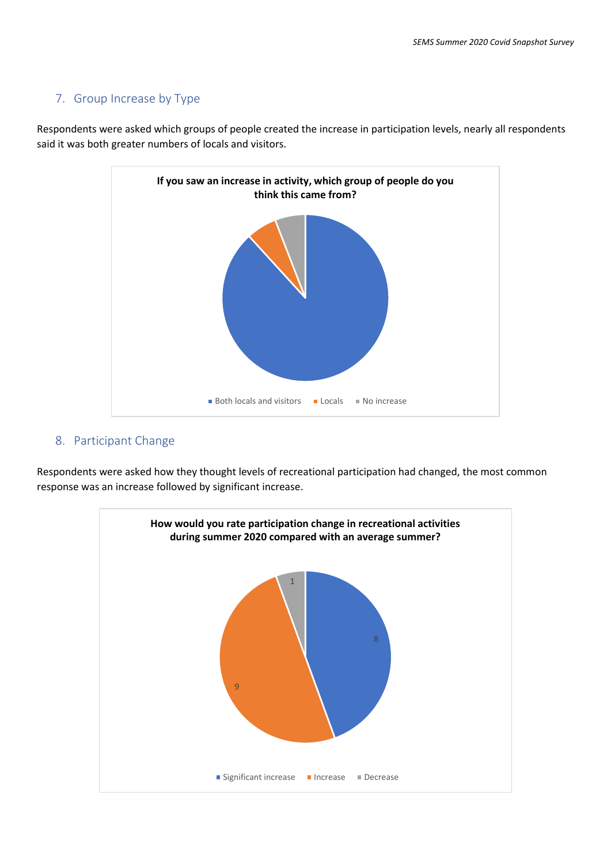# 7. Group Increase by Type

Respondents were asked which groups of people created the increase in participation levels, nearly all respondents said it was both greater numbers of locals and visitors.



### 8. Participant Change

Respondents were asked how they thought levels of recreational participation had changed, the most common response was an increase followed by significant increase.

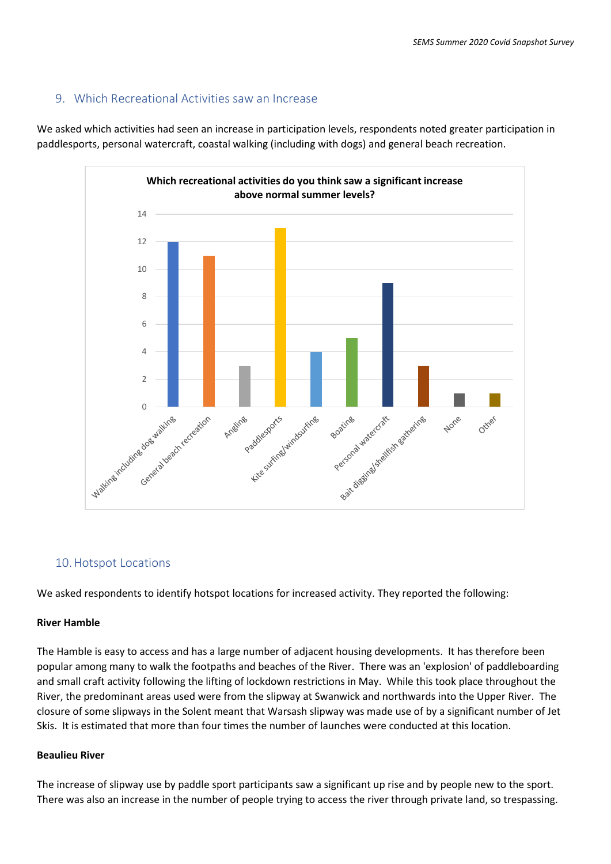### 9. Which Recreational Activities saw an Increase

We asked which activities had seen an increase in participation levels, respondents noted greater participation in paddlesports, personal watercraft, coastal walking (including with dogs) and general beach recreation.



### 10.Hotspot Locations

We asked respondents to identify hotspot locations for increased activity. They reported the following:

#### **River Hamble**

The Hamble is easy to access and has a large number of adjacent housing developments. It has therefore been popular among many to walk the footpaths and beaches of the River. There was an 'explosion' of paddleboarding and small craft activity following the lifting of lockdown restrictions in May. While this took place throughout the River, the predominant areas used were from the slipway at Swanwick and northwards into the Upper River. The closure of some slipways in the Solent meant that Warsash slipway was made use of by a significant number of Jet Skis. It is estimated that more than four times the number of launches were conducted at this location.

#### **Beaulieu River**

The increase of slipway use by paddle sport participants saw a significant up rise and by people new to the sport. There was also an increase in the number of people trying to access the river through private land, so trespassing.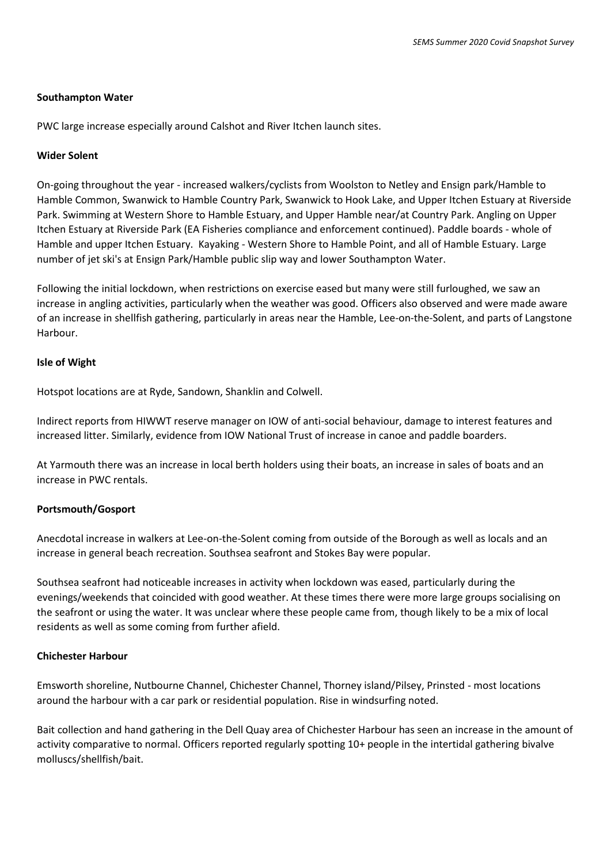#### **Southampton Water**

PWC large increase especially around Calshot and River Itchen launch sites.

#### **Wider Solent**

On-going throughout the year - increased walkers/cyclists from Woolston to Netley and Ensign park/Hamble to Hamble Common, Swanwick to Hamble Country Park, Swanwick to Hook Lake, and Upper Itchen Estuary at Riverside Park. Swimming at Western Shore to Hamble Estuary, and Upper Hamble near/at Country Park. Angling on Upper Itchen Estuary at Riverside Park (EA Fisheries compliance and enforcement continued). Paddle boards - whole of Hamble and upper Itchen Estuary. Kayaking - Western Shore to Hamble Point, and all of Hamble Estuary. Large number of jet ski's at Ensign Park/Hamble public slip way and lower Southampton Water.

Following the initial lockdown, when restrictions on exercise eased but many were still furloughed, we saw an increase in angling activities, particularly when the weather was good. Officers also observed and were made aware of an increase in shellfish gathering, particularly in areas near the Hamble, Lee-on-the-Solent, and parts of Langstone Harbour.

#### **Isle of Wight**

Hotspot locations are at Ryde, Sandown, Shanklin and Colwell.

Indirect reports from HIWWT reserve manager on IOW of anti-social behaviour, damage to interest features and increased litter. Similarly, evidence from IOW National Trust of increase in canoe and paddle boarders.

At Yarmouth there was an increase in local berth holders using their boats, an increase in sales of boats and an increase in PWC rentals.

#### **Portsmouth/Gosport**

Anecdotal increase in walkers at Lee-on-the-Solent coming from outside of the Borough as well as locals and an increase in general beach recreation. Southsea seafront and Stokes Bay were popular.

Southsea seafront had noticeable increases in activity when lockdown was eased, particularly during the evenings/weekends that coincided with good weather. At these times there were more large groups socialising on the seafront or using the water. It was unclear where these people came from, though likely to be a mix of local residents as well as some coming from further afield.

#### **Chichester Harbour**

Emsworth shoreline, Nutbourne Channel, Chichester Channel, Thorney island/Pilsey, Prinsted - most locations around the harbour with a car park or residential population. Rise in windsurfing noted.

Bait collection and hand gathering in the Dell Quay area of Chichester Harbour has seen an increase in the amount of activity comparative to normal. Officers reported regularly spotting 10+ people in the intertidal gathering bivalve molluscs/shellfish/bait.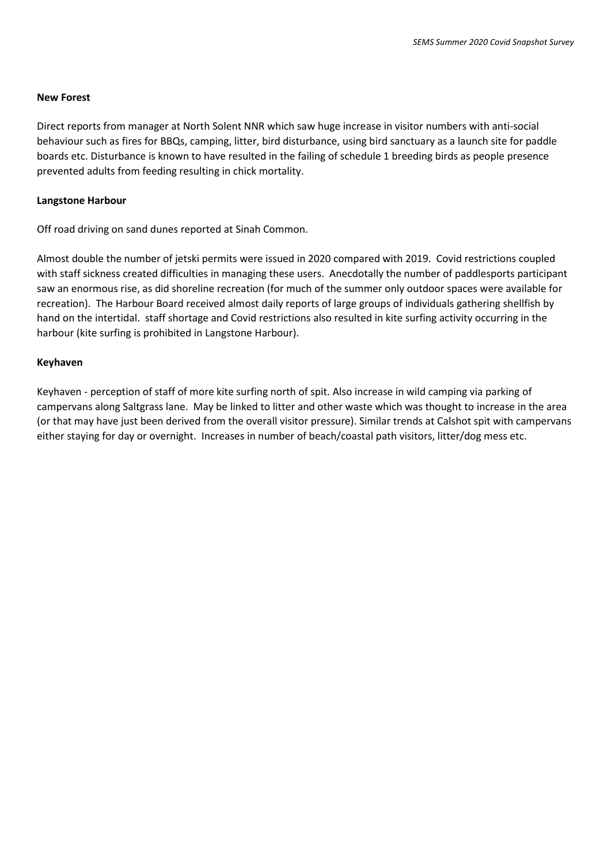#### **New Forest**

Direct reports from manager at North Solent NNR which saw huge increase in visitor numbers with anti-social behaviour such as fires for BBQs, camping, litter, bird disturbance, using bird sanctuary as a launch site for paddle boards etc. Disturbance is known to have resulted in the failing of schedule 1 breeding birds as people presence prevented adults from feeding resulting in chick mortality.

#### **Langstone Harbour**

Off road driving on sand dunes reported at Sinah Common.

Almost double the number of jetski permits were issued in 2020 compared with 2019. Covid restrictions coupled with staff sickness created difficulties in managing these users. Anecdotally the number of paddlesports participant saw an enormous rise, as did shoreline recreation (for much of the summer only outdoor spaces were available for recreation). The Harbour Board received almost daily reports of large groups of individuals gathering shellfish by hand on the intertidal. staff shortage and Covid restrictions also resulted in kite surfing activity occurring in the harbour (kite surfing is prohibited in Langstone Harbour).

#### **Keyhaven**

Keyhaven - perception of staff of more kite surfing north of spit. Also increase in wild camping via parking of campervans along Saltgrass lane. May be linked to litter and other waste which was thought to increase in the area (or that may have just been derived from the overall visitor pressure). Similar trends at Calshot spit with campervans either staying for day or overnight. Increases in number of beach/coastal path visitors, litter/dog mess etc.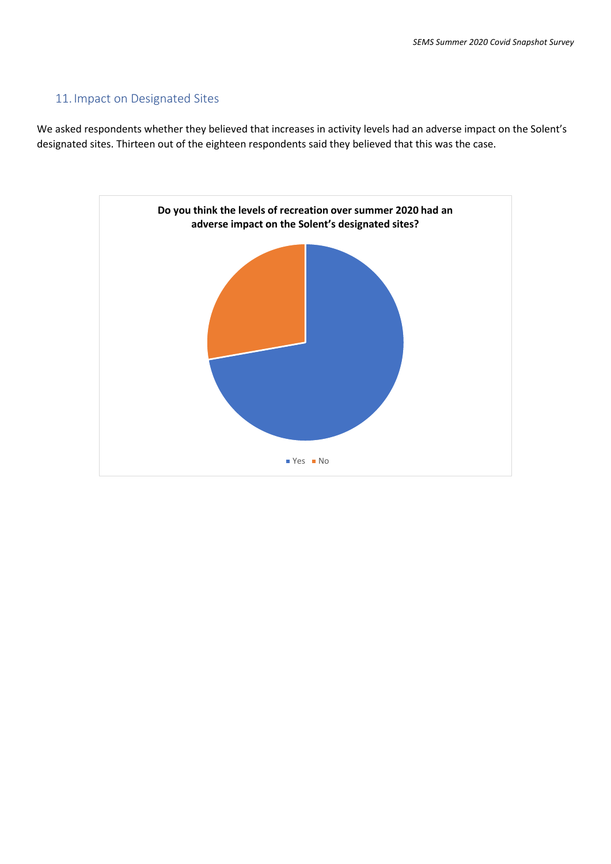### 11. Impact on Designated Sites

We asked respondents whether they believed that increases in activity levels had an adverse impact on the Solent's designated sites. Thirteen out of the eighteen respondents said they believed that this was the case.

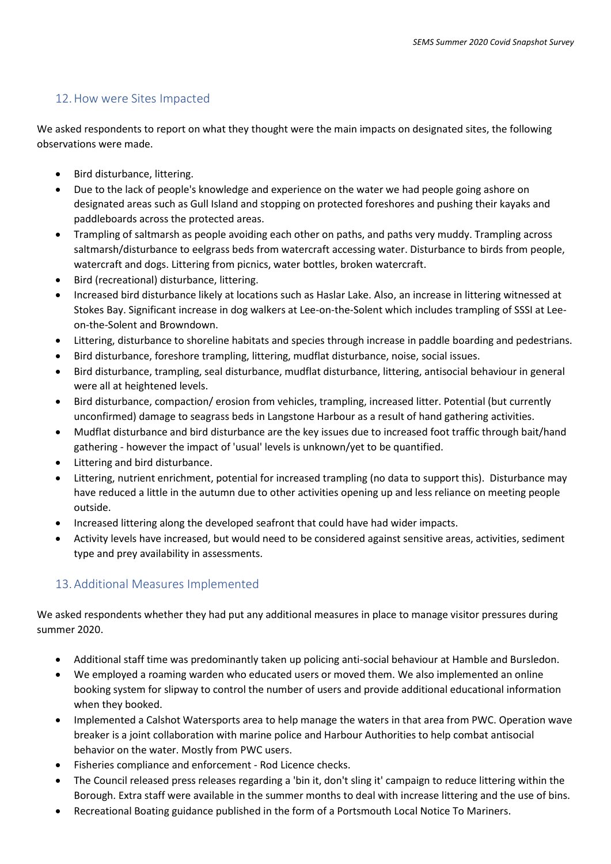### 12.How were Sites Impacted

We asked respondents to report on what they thought were the main impacts on designated sites, the following observations were made.

- Bird disturbance, littering.
- Due to the lack of people's knowledge and experience on the water we had people going ashore on designated areas such as Gull Island and stopping on protected foreshores and pushing their kayaks and paddleboards across the protected areas.
- Trampling of saltmarsh as people avoiding each other on paths, and paths very muddy. Trampling across saltmarsh/disturbance to eelgrass beds from watercraft accessing water. Disturbance to birds from people, watercraft and dogs. Littering from picnics, water bottles, broken watercraft.
- Bird (recreational) disturbance, littering.
- Increased bird disturbance likely at locations such as Haslar Lake. Also, an increase in littering witnessed at Stokes Bay. Significant increase in dog walkers at Lee-on-the-Solent which includes trampling of SSSI at Leeon-the-Solent and Browndown.
- Littering, disturbance to shoreline habitats and species through increase in paddle boarding and pedestrians.
- Bird disturbance, foreshore trampling, littering, mudflat disturbance, noise, social issues.
- Bird disturbance, trampling, seal disturbance, mudflat disturbance, littering, antisocial behaviour in general were all at heightened levels.
- Bird disturbance, compaction/ erosion from vehicles, trampling, increased litter. Potential (but currently unconfirmed) damage to seagrass beds in Langstone Harbour as a result of hand gathering activities.
- Mudflat disturbance and bird disturbance are the key issues due to increased foot traffic through bait/hand gathering - however the impact of 'usual' levels is unknown/yet to be quantified.
- Littering and bird disturbance.
- Littering, nutrient enrichment, potential for increased trampling (no data to support this). Disturbance may have reduced a little in the autumn due to other activities opening up and less reliance on meeting people outside.
- Increased littering along the developed seafront that could have had wider impacts.
- Activity levels have increased, but would need to be considered against sensitive areas, activities, sediment type and prey availability in assessments.

# 13.Additional Measures Implemented

We asked respondents whether they had put any additional measures in place to manage visitor pressures during summer 2020.

- Additional staff time was predominantly taken up policing anti-social behaviour at Hamble and Bursledon.
- We employed a roaming warden who educated users or moved them. We also implemented an online booking system for slipway to control the number of users and provide additional educational information when they booked.
- Implemented a Calshot Watersports area to help manage the waters in that area from PWC. Operation wave breaker is a joint collaboration with marine police and Harbour Authorities to help combat antisocial behavior on the water. Mostly from PWC users.
- Fisheries compliance and enforcement Rod Licence checks.
- The Council released press releases regarding a 'bin it, don't sling it' campaign to reduce littering within the Borough. Extra staff were available in the summer months to deal with increase littering and the use of bins.
- Recreational Boating guidance published in the form of a Portsmouth Local Notice To Mariners.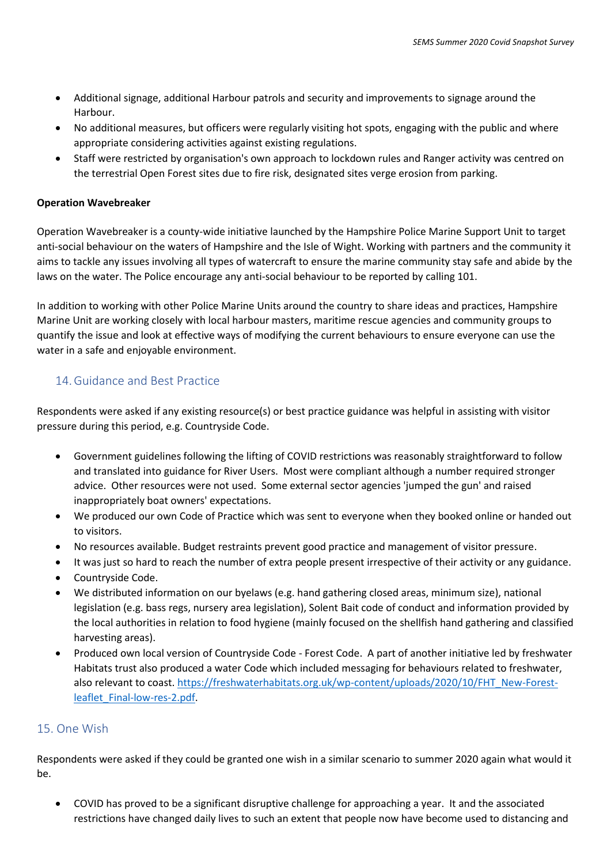- Additional signage, additional Harbour patrols and security and improvements to signage around the Harbour.
- No additional measures, but officers were regularly visiting hot spots, engaging with the public and where appropriate considering activities against existing regulations.
- Staff were restricted by organisation's own approach to lockdown rules and Ranger activity was centred on the terrestrial Open Forest sites due to fire risk, designated sites verge erosion from parking.

#### **Operation Wavebreaker**

Operation Wavebreaker is a county-wide initiative launched by the Hampshire Police Marine Support Unit to target anti-social behaviour on the waters of Hampshire and the Isle of Wight. Working with partners and the community it aims to tackle any issues involving all types of watercraft to ensure the marine community stay safe and abide by the laws on the water. The Police encourage any anti-social behaviour to be reported by calling 101.

In addition to working with other Police Marine Units around the country to share ideas and practices, Hampshire Marine Unit are working closely with local harbour masters, maritime rescue agencies and community groups to quantify the issue and look at effective ways of modifying the current behaviours to ensure everyone can use the water in a safe and enjoyable environment.

### 14.Guidance and Best Practice

Respondents were asked if any existing resource(s) or best practice guidance was helpful in assisting with visitor pressure during this period, e.g. Countryside Code.

- Government guidelines following the lifting of COVID restrictions was reasonably straightforward to follow and translated into guidance for River Users. Most were compliant although a number required stronger advice. Other resources were not used. Some external sector agencies 'jumped the gun' and raised inappropriately boat owners' expectations.
- We produced our own Code of Practice which was sent to everyone when they booked online or handed out to visitors.
- No resources available. Budget restraints prevent good practice and management of visitor pressure.
- It was just so hard to reach the number of extra people present irrespective of their activity or any guidance.
- Countryside Code.
- We distributed information on our byelaws (e.g. hand gathering closed areas, minimum size), national legislation (e.g. bass regs, nursery area legislation), Solent Bait code of conduct and information provided by the local authorities in relation to food hygiene (mainly focused on the shellfish hand gathering and classified harvesting areas).
- Produced own local version of Countryside Code Forest Code. A part of another initiative led by freshwater Habitats trust also produced a water Code which included messaging for behaviours related to freshwater, also relevant to coast. [https://freshwaterhabitats.org.uk/wp-content/uploads/2020/10/FHT\\_New-Forest](https://freshwaterhabitats.org.uk/wp-content/uploads/2020/10/FHT_New-Forest-leaflet_Final-low-res-2.pdf)[leaflet\\_Final-low-res-2.pdf.](https://freshwaterhabitats.org.uk/wp-content/uploads/2020/10/FHT_New-Forest-leaflet_Final-low-res-2.pdf)

### 15. One Wish

Respondents were asked if they could be granted one wish in a similar scenario to summer 2020 again what would it be.

• COVID has proved to be a significant disruptive challenge for approaching a year. It and the associated restrictions have changed daily lives to such an extent that people now have become used to distancing and